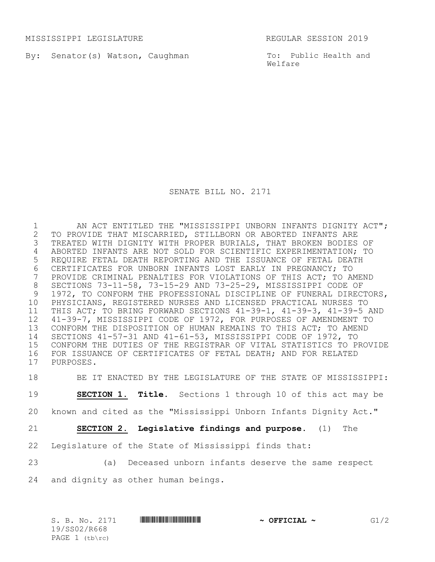MISSISSIPPI LEGISLATURE REGULAR SESSION 2019

By: Senator(s) Watson, Caughman

To: Public Health and Welfare

SENATE BILL NO. 2171

1 AN ACT ENTITLED THE "MISSISSIPPI UNBORN INFANTS DIGNITY ACT";<br>2 TO PROVIDE THAT MISCARRIED, STILLBORN OR ABORTED INFANTS ARE 2 TO PROVIDE THAT MISCARRIED, STILLBORN OR ABORTED INFANTS ARE<br>3 TREATED WITH DIGNITY WITH PROPER BURIALS, THAT BROKEN BODIES TREATED WITH DIGNITY WITH PROPER BURIALS, THAT BROKEN BODIES OF ABORTED INFANTS ARE NOT SOLD FOR SCIENTIFIC EXPERIMENTATION; TO REQUIRE FETAL DEATH REPORTING AND THE ISSUANCE OF FETAL DEATH 6 CERTIFICATES FOR UNBORN INFANTS LOST EARLY IN PREGNANCY; TO<br>7 PROVIDE CRIMINAL PENALTIES FOR VIOLATIONS OF THIS ACT; TO AN PROVIDE CRIMINAL PENALTIES FOR VIOLATIONS OF THIS ACT; TO AMEND SECTIONS 73-11-58, 73-15-29 AND 73-25-29, MISSISSIPPI CODE OF 9 1972, TO CONFORM THE PROFESSIONAL DISCIPLINE OF FUNERAL DIRECTORS, PHYSICIANS, REGISTERED NURSES AND LICENSED PRACTICAL NURSES TO THIS ACT; TO BRING FORWARD SECTIONS 41-39-1, 41-39-3, 41-39-5 AND 41-39-7, MISSISSIPPI CODE OF 1972, FOR PURPOSES OF AMENDMENT TO CONFORM THE DISPOSITION OF HUMAN REMAINS TO THIS ACT; TO AMEND SECTIONS 41-57-31 AND 41-61-53, MISSISSIPPI CODE OF 1972, TO CONFORM THE DUTIES OF THE REGISTRAR OF VITAL STATISTICS TO PROVIDE FOR ISSUANCE OF CERTIFICATES OF FETAL DEATH; AND FOR RELATED PURPOSES.

18 BE IT ENACTED BY THE LEGISLATURE OF THE STATE OF MISSISSIPPI:

19 **SECTION 1. Title.** Sections 1 through 10 of this act may be

- 20 known and cited as the "Mississippi Unborn Infants Dignity Act."
- 21 **SECTION 2. Legislative findings and purpose.** (1) The
- 22 Legislature of the State of Mississippi finds that:
- 23 (a) Deceased unborn infants deserve the same respect
- 24 and dignity as other human beings.

| S. B. No. 2171   | <u> I I DO I I DO I I I DO I DO I DO I I I DO I DO I DO I DO I DO I DO I DO I DO I </u> | $\sim$ OFFICIAL $\sim$ | G1/2 |
|------------------|-----------------------------------------------------------------------------------------|------------------------|------|
| 19/SS02/R668     |                                                                                         |                        |      |
| PAGE $1$ (tb\rc) |                                                                                         |                        |      |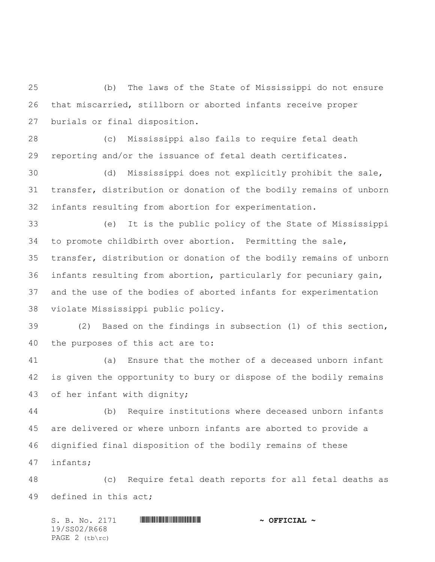(b) The laws of the State of Mississippi do not ensure that miscarried, stillborn or aborted infants receive proper burials or final disposition.

 (c) Mississippi also fails to require fetal death reporting and/or the issuance of fetal death certificates.

 (d) Mississippi does not explicitly prohibit the sale, transfer, distribution or donation of the bodily remains of unborn infants resulting from abortion for experimentation.

 (e) It is the public policy of the State of Mississippi to promote childbirth over abortion. Permitting the sale, transfer, distribution or donation of the bodily remains of unborn infants resulting from abortion, particularly for pecuniary gain, and the use of the bodies of aborted infants for experimentation violate Mississippi public policy.

 (2) Based on the findings in subsection (1) of this section, the purposes of this act are to:

 (a) Ensure that the mother of a deceased unborn infant is given the opportunity to bury or dispose of the bodily remains of her infant with dignity;

 (b) Require institutions where deceased unborn infants are delivered or where unborn infants are aborted to provide a dignified final disposition of the bodily remains of these infants;

 (c) Require fetal death reports for all fetal deaths as defined in this act;

S. B. No. 2171 \*SS02/R668\* **~ OFFICIAL ~** 19/SS02/R668 PAGE 2 (tb\rc)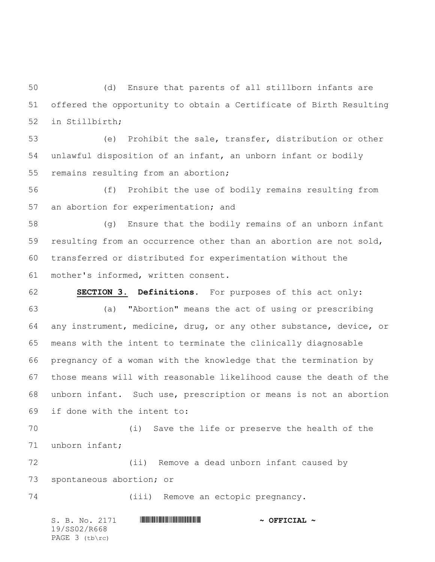(d) Ensure that parents of all stillborn infants are offered the opportunity to obtain a Certificate of Birth Resulting in Stillbirth;

 (e) Prohibit the sale, transfer, distribution or other unlawful disposition of an infant, an unborn infant or bodily remains resulting from an abortion;

 (f) Prohibit the use of bodily remains resulting from an abortion for experimentation; and

 (g) Ensure that the bodily remains of an unborn infant resulting from an occurrence other than an abortion are not sold, transferred or distributed for experimentation without the mother's informed, written consent.

 **SECTION 3. Definitions.** For purposes of this act only: (a) "Abortion**"** means the act of using or prescribing any instrument, medicine, drug, or any other substance, device, or means with the intent to terminate the clinically diagnosable pregnancy of a woman with the knowledge that the termination by those means will with reasonable likelihood cause the death of the unborn infant. Such use, prescription or means is not an abortion if done with the intent to:

 (i) Save the life or preserve the health of the unborn infant;

 (ii) Remove a dead unborn infant caused by spontaneous abortion; or

(iii) Remove an ectopic pregnancy.

S. B. No. 2171 **\*\*\* A SEPTICIAL \*\*\* \*\*\* OFFICIAL \*\*** 19/SS02/R668 PAGE 3 (tb\rc)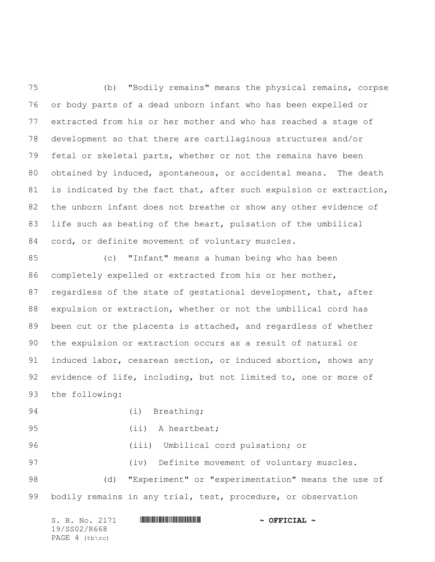(b) "Bodily remains" means the physical remains, corpse or body parts of a dead unborn infant who has been expelled or extracted from his or her mother and who has reached a stage of development so that there are cartilaginous structures and/or fetal or skeletal parts, whether or not the remains have been obtained by induced, spontaneous, or accidental means. The death 81 is indicated by the fact that, after such expulsion or extraction, the unborn infant does not breathe or show any other evidence of life such as beating of the heart, pulsation of the umbilical cord, or definite movement of voluntary muscles.

 (c) "Infant**"** means a human being who has been completely expelled or extracted from his or her mother, regardless of the state of gestational development, that, after expulsion or extraction, whether or not the umbilical cord has been cut or the placenta is attached, and regardless of whether the expulsion or extraction occurs as a result of natural or induced labor, cesarean section, or induced abortion, shows any evidence of life, including, but not limited to, one or more of the following:

94 (i) Breathing;

95 (ii) A heartbeat;

(iii) Umbilical cord pulsation; or

 (iv) Definite movement of voluntary muscles. (d) "Experiment" or "experimentation" means the use of 99 bodily remains in any trial, test, procedure, or observation

| S. B. No. 2171 | $\sim$ OFFICIAL $\sim$ |
|----------------|------------------------|
| 19/SS02/R668   |                        |
| PAGE 4 (tb\rc) |                        |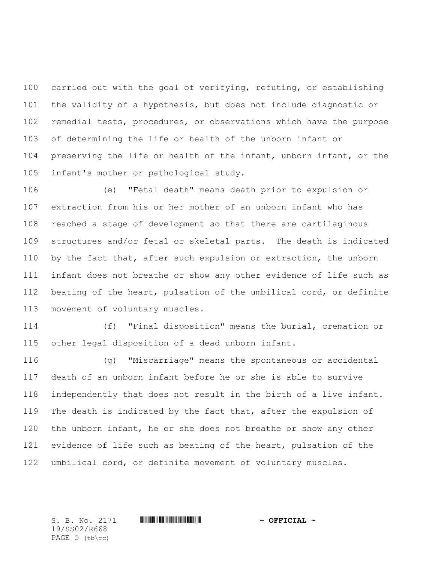carried out with the goal of verifying, refuting, or establishing the validity of a hypothesis, but does not include diagnostic or remedial tests, procedures, or observations which have the purpose of determining the life or health of the unborn infant or preserving the life or health of the infant, unborn infant, or the infant's mother or pathological study.

 (e) "Fetal death**"** means death prior to expulsion or extraction from his or her mother of an unborn infant who has reached a stage of development so that there are cartilaginous structures and/or fetal or skeletal parts. The death is indicated 110 by the fact that, after such expulsion or extraction, the unborn infant does not breathe or show any other evidence of life such as beating of the heart, pulsation of the umbilical cord, or definite movement of voluntary muscles.

 (f) "Final disposition" means the burial, cremation or other legal disposition of a dead unborn infant.

 (g) "Miscarriage**"** means the spontaneous or accidental death of an unborn infant before he or she is able to survive independently that does not result in the birth of a live infant. The death is indicated by the fact that, after the expulsion of the unborn infant, he or she does not breathe or show any other 121 evidence of life such as beating of the heart, pulsation of the umbilical cord, or definite movement of voluntary muscles.

19/SS02/R668 PAGE 5 (tb\rc)

S. B. No. 2171 \*SS02/R668\* **~ OFFICIAL ~**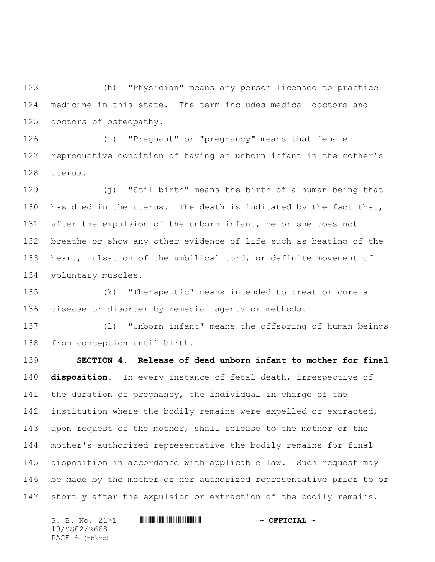(h) "Physician" means any person licensed to practice medicine in this state. The term includes medical doctors and doctors of osteopathy.

 (i) "Pregnant" or "pregnancy" means that female reproductive condition of having an unborn infant in the mother's uterus.

 (j) "Stillbirth" means the birth of a human being that 130 has died in the uterus. The death is indicated by the fact that, after the expulsion of the unborn infant, he or she does not breathe or show any other evidence of life such as beating of the heart, pulsation of the umbilical cord, or definite movement of voluntary muscles.

 (k) "Therapeutic" means intended to treat or cure a disease or disorder by remedial agents or methods.

 (l) "Unborn infant" means the offspring of human beings from conception until birth.

 **SECTION 4. Release of dead unborn infant to mother for final disposition.** In every instance of fetal death, irrespective of the duration of pregnancy, the individual in charge of the institution where the bodily remains were expelled or extracted, upon request of the mother, shall release to the mother or the mother's authorized representative the bodily remains for final disposition in accordance with applicable law. Such request may be made by the mother or her authorized representative prior to or 147 shortly after the expulsion or extraction of the bodily remains.

S. B. No. 2171 **\*\*\* A SEPTICIAL \*\*\* \*\*\* OFFICIAL \*\*** 19/SS02/R668 PAGE 6 (tb\rc)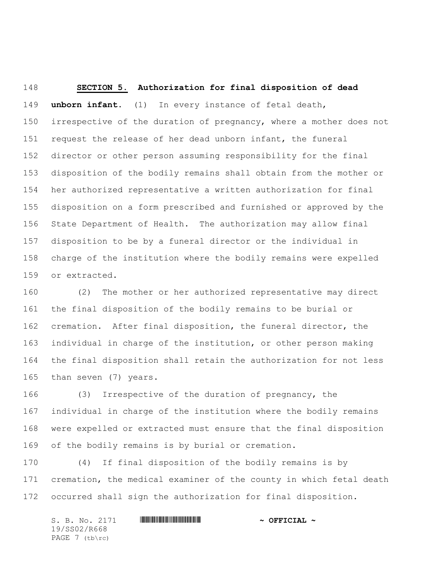**SECTION 5. Authorization for final disposition of dead unborn infant.** (1) In every instance of fetal death, irrespective of the duration of pregnancy, where a mother does not request the release of her dead unborn infant, the funeral director or other person assuming responsibility for the final disposition of the bodily remains shall obtain from the mother or her authorized representative a written authorization for final disposition on a form prescribed and furnished or approved by the State Department of Health. The authorization may allow final disposition to be by a funeral director or the individual in charge of the institution where the bodily remains were expelled or extracted.

 (2) The mother or her authorized representative may direct the final disposition of the bodily remains to be burial or cremation. After final disposition, the funeral director, the individual in charge of the institution, or other person making the final disposition shall retain the authorization for not less than seven (7) years.

 (3) Irrespective of the duration of pregnancy, the individual in charge of the institution where the bodily remains were expelled or extracted must ensure that the final disposition of the bodily remains is by burial or cremation.

 (4) If final disposition of the bodily remains is by cremation, the medical examiner of the county in which fetal death occurred shall sign the authorization for final disposition.

| S. B. No. 2171 | $\sim$ OFFICIAL $\sim$ |
|----------------|------------------------|
| 19/SS02/R668   |                        |
| PAGE 7 (tb\rc) |                        |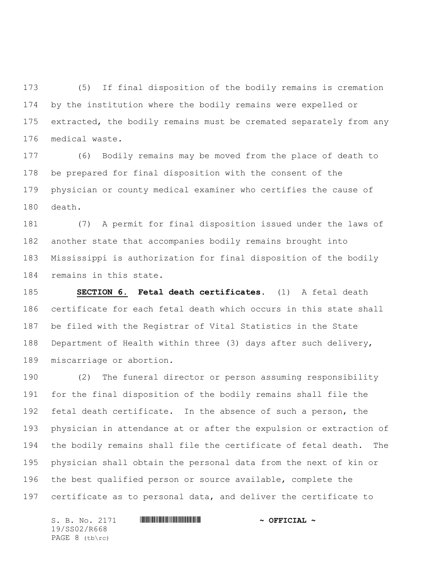(5) If final disposition of the bodily remains is cremation by the institution where the bodily remains were expelled or extracted, the bodily remains must be cremated separately from any medical waste.

 (6) Bodily remains may be moved from the place of death to be prepared for final disposition with the consent of the physician or county medical examiner who certifies the cause of death.

 (7) A permit for final disposition issued under the laws of another state that accompanies bodily remains brought into Mississippi is authorization for final disposition of the bodily remains in this state.

 **SECTION 6. Fetal death certificates.** (1) A fetal death certificate for each fetal death which occurs in this state shall be filed with the Registrar of Vital Statistics in the State Department of Health within three (3) days after such delivery, miscarriage or abortion.

 (2) The funeral director or person assuming responsibility for the final disposition of the bodily remains shall file the fetal death certificate. In the absence of such a person, the physician in attendance at or after the expulsion or extraction of the bodily remains shall file the certificate of fetal death. The physician shall obtain the personal data from the next of kin or the best qualified person or source available, complete the certificate as to personal data, and deliver the certificate to

S. B. No. 2171 \*SS02/R668\* **~ OFFICIAL ~** 19/SS02/R668 PAGE 8 (tb\rc)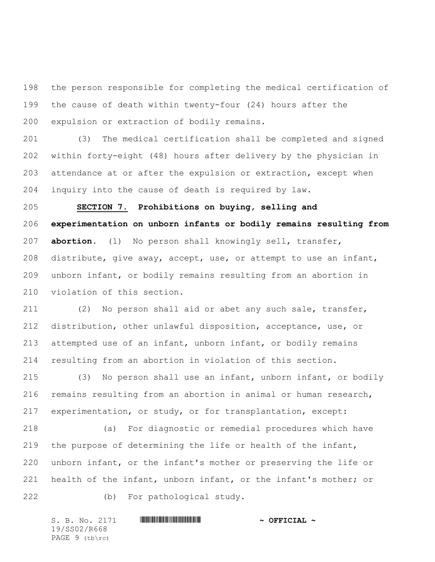the person responsible for completing the medical certification of the cause of death within twenty-four (24) hours after the expulsion or extraction of bodily remains.

 (3) The medical certification shall be completed and signed within forty-eight (48) hours after delivery by the physician in attendance at or after the expulsion or extraction, except when inquiry into the cause of death is required by law.

 **SECTION 7. Prohibitions on buying, selling and experimentation on unborn infants or bodily remains resulting from abortion.** (1) No person shall knowingly sell, transfer, distribute, give away, accept, use, or attempt to use an infant, unborn infant, or bodily remains resulting from an abortion in violation of this section.

 (2) No person shall aid or abet any such sale, transfer, distribution, other unlawful disposition, acceptance, use, or attempted use of an infant, unborn infant, or bodily remains resulting from an abortion in violation of this section.

 (3) No person shall use an infant, unborn infant, or bodily remains resulting from an abortion in animal or human research, experimentation, or study, or for transplantation, except:

 (a) For diagnostic or remedial procedures which have the purpose of determining the life or health of the infant, unborn infant, or the infant's mother or preserving the life or health of the infant, unborn infant, or the infant's mother; or (b) For pathological study.

S. B. No. 2171 \*SS02/R668\* **~ OFFICIAL ~** 19/SS02/R668 PAGE 9 (tb\rc)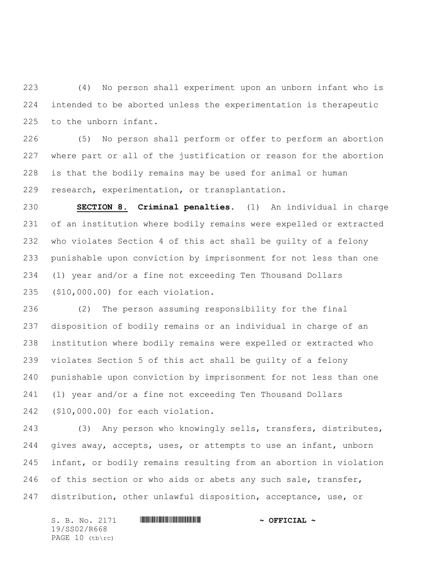(4) No person shall experiment upon an unborn infant who is intended to be aborted unless the experimentation is therapeutic to the unborn infant.

 (5) No person shall perform or offer to perform an abortion where part or all of the justification or reason for the abortion is that the bodily remains may be used for animal or human research, experimentation, or transplantation.

 **SECTION 8. Criminal penalties.** (1) An individual in charge of an institution where bodily remains were expelled or extracted who violates Section 4 of this act shall be guilty of a felony punishable upon conviction by imprisonment for not less than one (1) year and/or a fine not exceeding Ten Thousand Dollars (\$10,000.00) for each violation.

 (2) The person assuming responsibility for the final disposition of bodily remains or an individual in charge of an institution where bodily remains were expelled or extracted who violates Section 5 of this act shall be guilty of a felony punishable upon conviction by imprisonment for not less than one (1) year and/or a fine not exceeding Ten Thousand Dollars (\$10,000.00) for each violation.

 (3) Any person who knowingly sells, transfers, distributes, gives away, accepts, uses, or attempts to use an infant, unborn infant, or bodily remains resulting from an abortion in violation of this section or who aids or abets any such sale, transfer, distribution, other unlawful disposition, acceptance, use, or

S. B. No. 2171 **\*\*\* A SEPTICIAL \*\*\* \*\*\* OFFICIAL \*\*** 19/SS02/R668 PAGE 10 (tb\rc)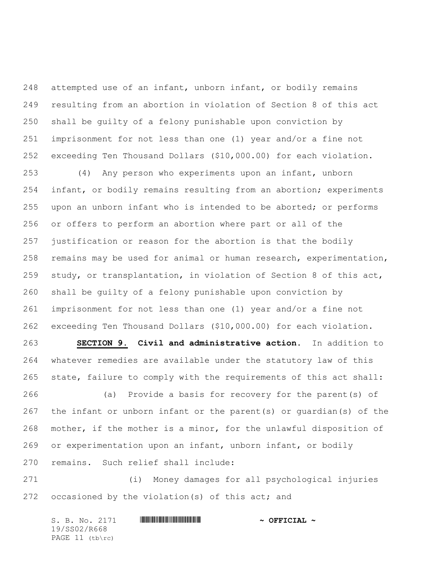attempted use of an infant, unborn infant, or bodily remains resulting from an abortion in violation of Section 8 of this act shall be guilty of a felony punishable upon conviction by imprisonment for not less than one (1) year and/or a fine not exceeding Ten Thousand Dollars (\$10,000.00) for each violation.

 (4) Any person who experiments upon an infant, unborn infant, or bodily remains resulting from an abortion; experiments upon an unborn infant who is intended to be aborted; or performs or offers to perform an abortion where part or all of the justification or reason for the abortion is that the bodily remains may be used for animal or human research, experimentation, study, or transplantation, in violation of Section 8 of this act, shall be guilty of a felony punishable upon conviction by imprisonment for not less than one (1) year and/or a fine not exceeding Ten Thousand Dollars (\$10,000.00) for each violation.

 **SECTION 9. Civil and administrative action.** In addition to whatever remedies are available under the statutory law of this state, failure to comply with the requirements of this act shall:

 (a) Provide a basis for recovery for the parent(s) of the infant or unborn infant or the parent(s) or guardian(s) of the mother, if the mother is a minor, for the unlawful disposition of or experimentation upon an infant, unborn infant, or bodily remains. Such relief shall include:

 (i) Money damages for all psychological injuries occasioned by the violation(s) of this act; and

S. B. No. 2171 **\*\*\* A SEPTICIAL \*\*\* \*\*\* OFFICIAL \*\*** 19/SS02/R668 PAGE 11 (tb\rc)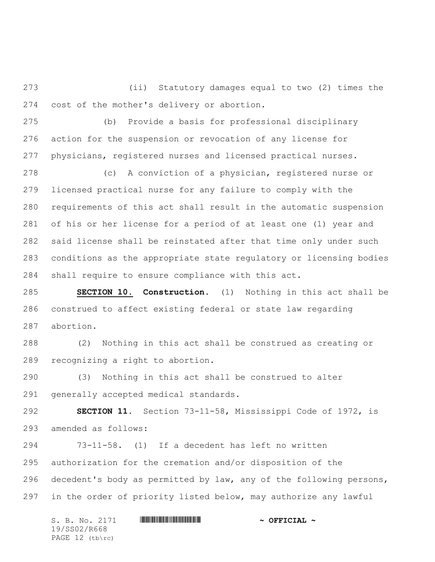(ii) Statutory damages equal to two (2) times the cost of the mother's delivery or abortion.

 (b) Provide a basis for professional disciplinary action for the suspension or revocation of any license for physicians, registered nurses and licensed practical nurses.

 (c) A conviction of a physician, registered nurse or licensed practical nurse for any failure to comply with the requirements of this act shall result in the automatic suspension of his or her license for a period of at least one (1) year and said license shall be reinstated after that time only under such conditions as the appropriate state regulatory or licensing bodies shall require to ensure compliance with this act.

 **SECTION 10. Construction.** (1) Nothing in this act shall be construed to affect existing federal or state law regarding abortion.

 (2) Nothing in this act shall be construed as creating or recognizing a right to abortion.

 (3) Nothing in this act shall be construed to alter generally accepted medical standards.

 **SECTION 11.** Section 73-11-58, Mississippi Code of 1972, is amended as follows:

 73-11-58. (1) If a decedent has left no written authorization for the cremation and/or disposition of the decedent's body as permitted by law, any of the following persons, in the order of priority listed below, may authorize any lawful

S. B. No. 2171 \*SS02/R668\* **~ OFFICIAL ~** 19/SS02/R668 PAGE 12 (tb\rc)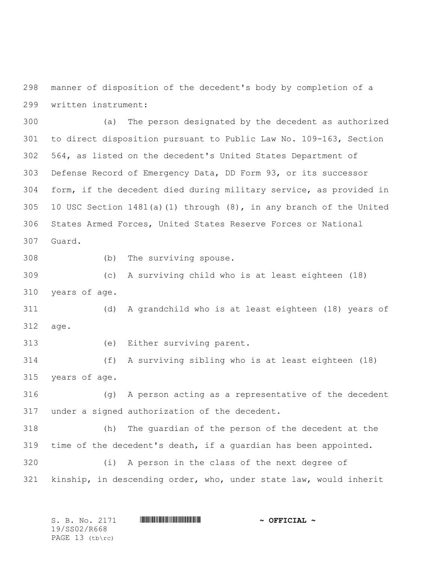manner of disposition of the decedent's body by completion of a written instrument:

 (a) The person designated by the decedent as authorized to direct disposition pursuant to Public Law No. 109-163, Section 564, as listed on the decedent's United States Department of Defense Record of Emergency Data, DD Form 93, or its successor form, if the decedent died during military service, as provided in 10 USC Section 1481(a)(1) through (8), in any branch of the United States Armed Forces, United States Reserve Forces or National Guard.

(b) The surviving spouse.

 (c) A surviving child who is at least eighteen (18) years of age.

 (d) A grandchild who is at least eighteen (18) years of age.

(e) Either surviving parent.

 (f) A surviving sibling who is at least eighteen (18) years of age.

 (g) A person acting as a representative of the decedent under a signed authorization of the decedent.

 (h) The guardian of the person of the decedent at the time of the decedent's death, if a guardian has been appointed.

 (i) A person in the class of the next degree of kinship, in descending order, who, under state law, would inherit

| S. B. No. 2171    | $\sim$ OFFICIAL $\sim$ |
|-------------------|------------------------|
| 19/SS02/R668      |                        |
| PAGE $13$ (tb\rc) |                        |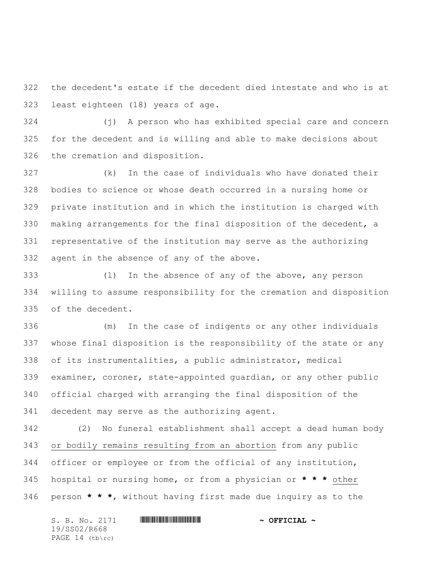the decedent's estate if the decedent died intestate and who is at least eighteen (18) years of age.

 (j) A person who has exhibited special care and concern for the decedent and is willing and able to make decisions about the cremation and disposition.

 (k) In the case of individuals who have donated their bodies to science or whose death occurred in a nursing home or private institution and in which the institution is charged with making arrangements for the final disposition of the decedent, a representative of the institution may serve as the authorizing agent in the absence of any of the above.

 (l) In the absence of any of the above, any person willing to assume responsibility for the cremation and disposition of the decedent.

 (m) In the case of indigents or any other individuals whose final disposition is the responsibility of the state or any of its instrumentalities, a public administrator, medical examiner, coroner, state-appointed guardian, or any other public official charged with arranging the final disposition of the decedent may serve as the authorizing agent.

 (2) No funeral establishment shall accept a dead human body or bodily remains resulting from an abortion from any public officer or employee or from the official of any institution, hospital or nursing home, or from a physician or **\* \* \*** other person **\* \* \***, without having first made due inquiry as to the

S. B. No. 2171 \*SS02/R668\* **~ OFFICIAL ~** 19/SS02/R668 PAGE 14 (tb\rc)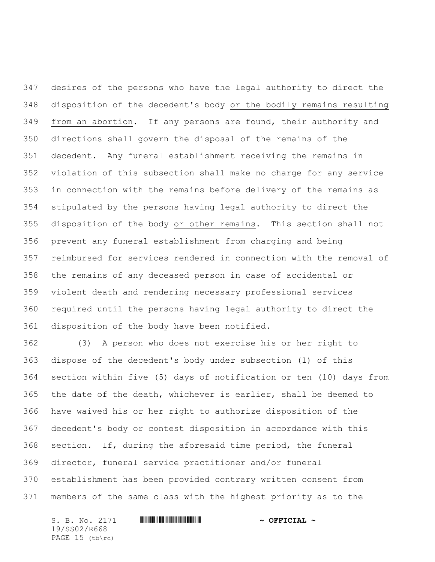desires of the persons who have the legal authority to direct the disposition of the decedent's body or the bodily remains resulting from an abortion. If any persons are found, their authority and directions shall govern the disposal of the remains of the decedent. Any funeral establishment receiving the remains in violation of this subsection shall make no charge for any service in connection with the remains before delivery of the remains as stipulated by the persons having legal authority to direct the disposition of the body or other remains. This section shall not prevent any funeral establishment from charging and being reimbursed for services rendered in connection with the removal of the remains of any deceased person in case of accidental or violent death and rendering necessary professional services required until the persons having legal authority to direct the disposition of the body have been notified.

 (3) A person who does not exercise his or her right to dispose of the decedent's body under subsection (1) of this section within five (5) days of notification or ten (10) days from the date of the death, whichever is earlier, shall be deemed to have waived his or her right to authorize disposition of the decedent's body or contest disposition in accordance with this section. If, during the aforesaid time period, the funeral director, funeral service practitioner and/or funeral establishment has been provided contrary written consent from members of the same class with the highest priority as to the

S. B. No. 2171 \*SS02/R668\* **~ OFFICIAL ~** 19/SS02/R668 PAGE 15 (tb\rc)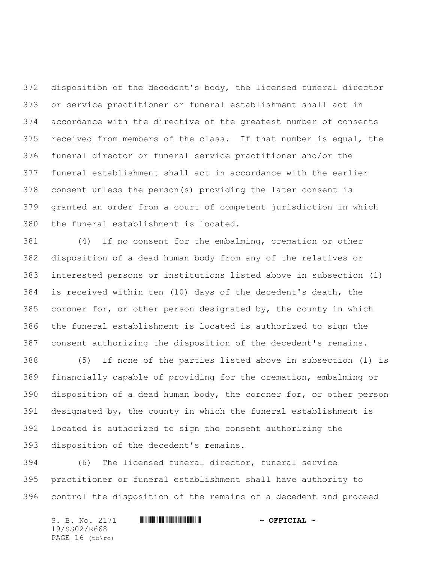disposition of the decedent's body, the licensed funeral director or service practitioner or funeral establishment shall act in accordance with the directive of the greatest number of consents received from members of the class. If that number is equal, the funeral director or funeral service practitioner and/or the funeral establishment shall act in accordance with the earlier consent unless the person(s) providing the later consent is granted an order from a court of competent jurisdiction in which the funeral establishment is located.

 (4) If no consent for the embalming, cremation or other disposition of a dead human body from any of the relatives or interested persons or institutions listed above in subsection (1) is received within ten (10) days of the decedent's death, the coroner for, or other person designated by, the county in which the funeral establishment is located is authorized to sign the consent authorizing the disposition of the decedent's remains.

 (5) If none of the parties listed above in subsection (1) is financially capable of providing for the cremation, embalming or disposition of a dead human body, the coroner for, or other person designated by, the county in which the funeral establishment is located is authorized to sign the consent authorizing the disposition of the decedent's remains.

 (6) The licensed funeral director, funeral service practitioner or funeral establishment shall have authority to control the disposition of the remains of a decedent and proceed

S. B. No. 2171 \*SS02/R668\* **~ OFFICIAL ~** 19/SS02/R668 PAGE 16 (tb\rc)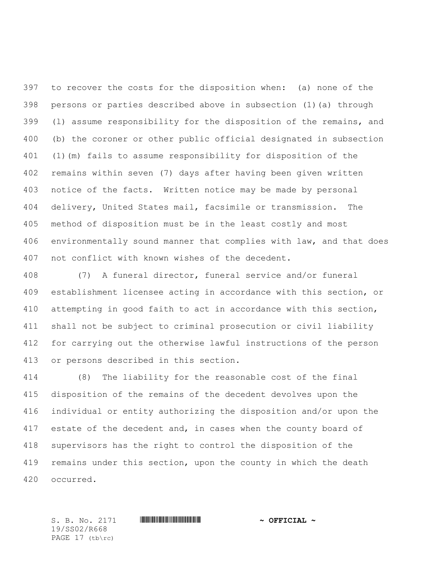to recover the costs for the disposition when: (a) none of the persons or parties described above in subsection (1)(a) through (l) assume responsibility for the disposition of the remains, and (b) the coroner or other public official designated in subsection (1)(m) fails to assume responsibility for disposition of the remains within seven (7) days after having been given written notice of the facts. Written notice may be made by personal delivery, United States mail, facsimile or transmission. The method of disposition must be in the least costly and most environmentally sound manner that complies with law, and that does not conflict with known wishes of the decedent.

 (7) A funeral director, funeral service and/or funeral establishment licensee acting in accordance with this section, or attempting in good faith to act in accordance with this section, shall not be subject to criminal prosecution or civil liability for carrying out the otherwise lawful instructions of the person or persons described in this section.

 (8) The liability for the reasonable cost of the final disposition of the remains of the decedent devolves upon the individual or entity authorizing the disposition and/or upon the 417 estate of the decedent and, in cases when the county board of supervisors has the right to control the disposition of the 419 remains under this section, upon the county in which the death occurred.

S. B. No. 2171 \*SS02/R668\* **~ OFFICIAL ~** 19/SS02/R668 PAGE 17 (tb\rc)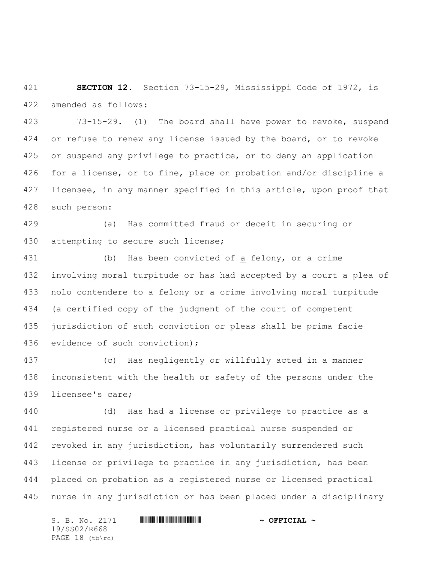**SECTION 12.** Section 73-15-29, Mississippi Code of 1972, is amended as follows:

 73-15-29. (1) The board shall have power to revoke, suspend 424 or refuse to renew any license issued by the board, or to revoke or suspend any privilege to practice, or to deny an application for a license, or to fine, place on probation and/or discipline a licensee, in any manner specified in this article, upon proof that such person:

 (a) Has committed fraud or deceit in securing or attempting to secure such license;

 (b) Has been convicted of a felony, or a crime involving moral turpitude or has had accepted by a court a plea of nolo contendere to a felony or a crime involving moral turpitude (a certified copy of the judgment of the court of competent jurisdiction of such conviction or pleas shall be prima facie evidence of such conviction);

 (c) Has negligently or willfully acted in a manner inconsistent with the health or safety of the persons under the licensee's care;

 (d) Has had a license or privilege to practice as a registered nurse or a licensed practical nurse suspended or revoked in any jurisdiction, has voluntarily surrendered such license or privilege to practice in any jurisdiction, has been placed on probation as a registered nurse or licensed practical nurse in any jurisdiction or has been placed under a disciplinary

S. B. No. 2171 \*SS02/R668\* **~ OFFICIAL ~** 19/SS02/R668 PAGE 18 (tb\rc)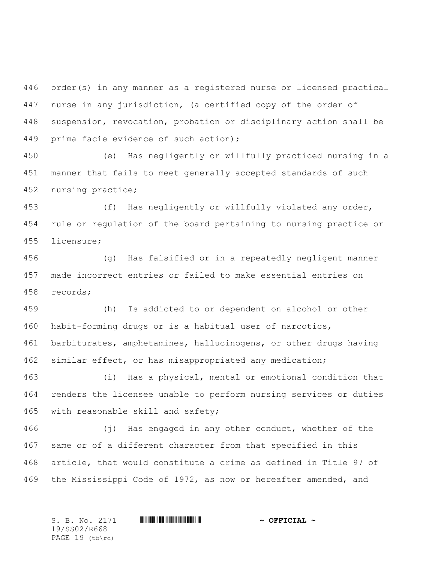order(s) in any manner as a registered nurse or licensed practical nurse in any jurisdiction, (a certified copy of the order of suspension, revocation, probation or disciplinary action shall be prima facie evidence of such action);

 (e) Has negligently or willfully practiced nursing in a manner that fails to meet generally accepted standards of such nursing practice;

 (f) Has negligently or willfully violated any order, rule or regulation of the board pertaining to nursing practice or licensure;

 (g) Has falsified or in a repeatedly negligent manner made incorrect entries or failed to make essential entries on records;

 (h) Is addicted to or dependent on alcohol or other habit-forming drugs or is a habitual user of narcotics, barbiturates, amphetamines, hallucinogens, or other drugs having similar effect, or has misappropriated any medication;

 (i) Has a physical, mental or emotional condition that renders the licensee unable to perform nursing services or duties with reasonable skill and safety;

 (j) Has engaged in any other conduct, whether of the same or of a different character from that specified in this article, that would constitute a crime as defined in Title 97 of the Mississippi Code of 1972, as now or hereafter amended, and

19/SS02/R668 PAGE 19 (tb\rc)

S. B. No. 2171 \*SS02/R668\* **~ OFFICIAL ~**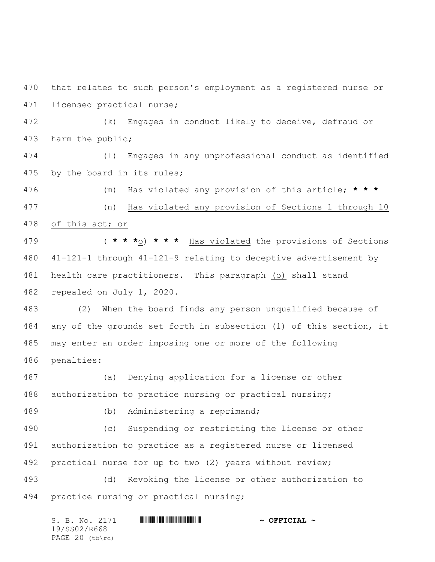that relates to such person's employment as a registered nurse or licensed practical nurse;

 (k) Engages in conduct likely to deceive, defraud or harm the public;

 (l) Engages in any unprofessional conduct as identified by the board in its rules;

 (m) Has violated any provision of this article; **\* \* \*** (n) Has violated any provision of Sections 1 through 10

of this act; or

 ( **\* \* \***o) **\* \* \*** Has violated the provisions of Sections 41-121-1 through 41-121-9 relating to deceptive advertisement by health care practitioners. This paragraph (o) shall stand repealed on July 1, 2020.

 (2) When the board finds any person unqualified because of any of the grounds set forth in subsection (1) of this section, it may enter an order imposing one or more of the following penalties:

 (a) Denying application for a license or other authorization to practice nursing or practical nursing;

(b) Administering a reprimand;

 (c) Suspending or restricting the license or other authorization to practice as a registered nurse or licensed practical nurse for up to two (2) years without review;

 (d) Revoking the license or other authorization to practice nursing or practical nursing;

S. B. No. 2171 **\*\*\* A SEPTICIAL \*\*\* \*\*\* OFFICIAL \*\*** 19/SS02/R668 PAGE 20 (tb\rc)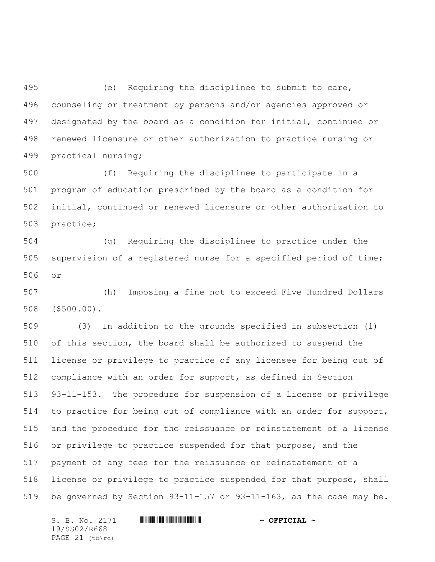(e) Requiring the disciplinee to submit to care, counseling or treatment by persons and/or agencies approved or designated by the board as a condition for initial, continued or renewed licensure or other authorization to practice nursing or practical nursing;

 (f) Requiring the disciplinee to participate in a program of education prescribed by the board as a condition for initial, continued or renewed licensure or other authorization to practice;

 (g) Requiring the disciplinee to practice under the supervision of a registered nurse for a specified period of time; or

 (h) Imposing a fine not to exceed Five Hundred Dollars (\$500.00).

 (3) In addition to the grounds specified in subsection (1) of this section, the board shall be authorized to suspend the license or privilege to practice of any licensee for being out of compliance with an order for support, as defined in Section 93-11-153. The procedure for suspension of a license or privilege to practice for being out of compliance with an order for support, and the procedure for the reissuance or reinstatement of a license or privilege to practice suspended for that purpose, and the payment of any fees for the reissuance or reinstatement of a license or privilege to practice suspended for that purpose, shall be governed by Section 93-11-157 or 93-11-163, as the case may be.

S. B. No. 2171 \*SS02/R668\* **~ OFFICIAL ~** 19/SS02/R668 PAGE (tb\rc)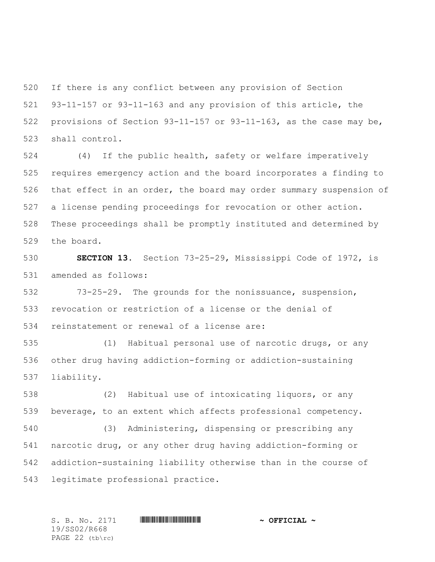If there is any conflict between any provision of Section 93-11-157 or 93-11-163 and any provision of this article, the provisions of Section 93-11-157 or 93-11-163, as the case may be, shall control.

 (4) If the public health, safety or welfare imperatively requires emergency action and the board incorporates a finding to that effect in an order, the board may order summary suspension of a license pending proceedings for revocation or other action. These proceedings shall be promptly instituted and determined by the board.

 **SECTION 13.** Section 73-25-29, Mississippi Code of 1972, is amended as follows:

 73-25-29. The grounds for the nonissuance, suspension, revocation or restriction of a license or the denial of reinstatement or renewal of a license are:

 (1) Habitual personal use of narcotic drugs, or any other drug having addiction-forming or addiction-sustaining liability.

 (2) Habitual use of intoxicating liquors, or any beverage, to an extent which affects professional competency. (3) Administering, dispensing or prescribing any

 narcotic drug, or any other drug having addiction-forming or addiction-sustaining liability otherwise than in the course of legitimate professional practice.

19/SS02/R668 PAGE 22 (tb\rc)

S. B. No. 2171 \*SS02/R668\* **~ OFFICIAL ~**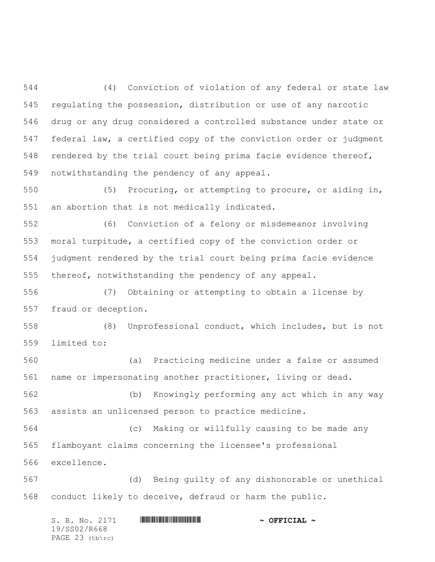(4) Conviction of violation of any federal or state law regulating the possession, distribution or use of any narcotic drug or any drug considered a controlled substance under state or federal law, a certified copy of the conviction order or judgment rendered by the trial court being prima facie evidence thereof, notwithstanding the pendency of any appeal.

 (5) Procuring, or attempting to procure, or aiding in, an abortion that is not medically indicated.

 (6) Conviction of a felony or misdemeanor involving moral turpitude, a certified copy of the conviction order or judgment rendered by the trial court being prima facie evidence thereof, notwithstanding the pendency of any appeal.

 (7) Obtaining or attempting to obtain a license by fraud or deception.

 (8) Unprofessional conduct, which includes, but is not limited to:

 (a) Practicing medicine under a false or assumed name or impersonating another practitioner, living or dead.

 (b) Knowingly performing any act which in any way assists an unlicensed person to practice medicine.

 (c) Making or willfully causing to be made any flamboyant claims concerning the licensee's professional excellence.

 (d) Being guilty of any dishonorable or unethical conduct likely to deceive, defraud or harm the public.

| S. B. No. 2171  | $\sim$ OFFICIAL $\sim$ |
|-----------------|------------------------|
| 19/SS02/R668    |                        |
| PAGE 23 (tb\rc) |                        |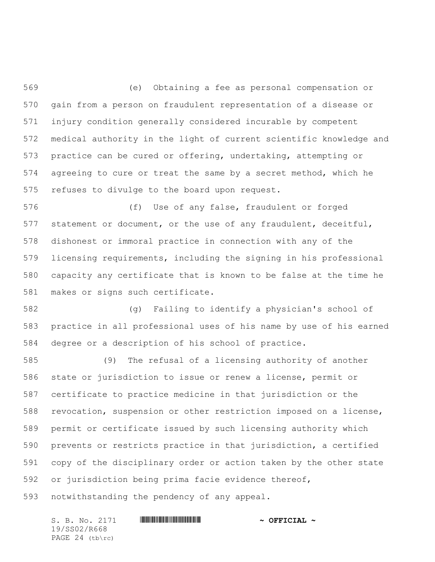(e) Obtaining a fee as personal compensation or gain from a person on fraudulent representation of a disease or injury condition generally considered incurable by competent medical authority in the light of current scientific knowledge and practice can be cured or offering, undertaking, attempting or agreeing to cure or treat the same by a secret method, which he refuses to divulge to the board upon request.

 (f) Use of any false, fraudulent or forged statement or document, or the use of any fraudulent, deceitful, dishonest or immoral practice in connection with any of the licensing requirements, including the signing in his professional capacity any certificate that is known to be false at the time he makes or signs such certificate.

 (g) Failing to identify a physician's school of practice in all professional uses of his name by use of his earned degree or a description of his school of practice.

 (9) The refusal of a licensing authority of another state or jurisdiction to issue or renew a license, permit or certificate to practice medicine in that jurisdiction or the revocation, suspension or other restriction imposed on a license, permit or certificate issued by such licensing authority which prevents or restricts practice in that jurisdiction, a certified copy of the disciplinary order or action taken by the other state or jurisdiction being prima facie evidence thereof, notwithstanding the pendency of any appeal.

S. B. No. 2171 \*SS02/R668\* **~ OFFICIAL ~** 19/SS02/R668 PAGE 24 (tb\rc)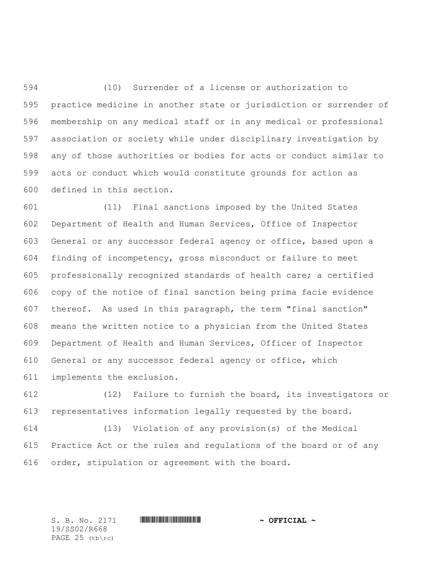(10) Surrender of a license or authorization to practice medicine in another state or jurisdiction or surrender of membership on any medical staff or in any medical or professional association or society while under disciplinary investigation by any of those authorities or bodies for acts or conduct similar to acts or conduct which would constitute grounds for action as defined in this section.

 (11) Final sanctions imposed by the United States Department of Health and Human Services, Office of Inspector General or any successor federal agency or office, based upon a finding of incompetency, gross misconduct or failure to meet professionally recognized standards of health care; a certified copy of the notice of final sanction being prima facie evidence thereof. As used in this paragraph, the term "final sanction" means the written notice to a physician from the United States Department of Health and Human Services, Officer of Inspector General or any successor federal agency or office, which implements the exclusion.

 (12) Failure to furnish the board, its investigators or representatives information legally requested by the board.

 (13) Violation of any provision(s) of the Medical Practice Act or the rules and regulations of the board or of any order, stipulation or agreement with the board.

19/SS02/R668 PAGE 25 (tb\rc)

S. B. No. 2171 \*SS02/R668\* **~ OFFICIAL ~**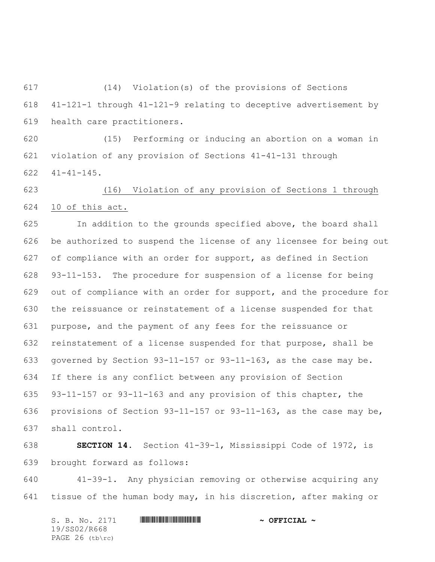(14) Violation(s) of the provisions of Sections 41-121-1 through 41-121-9 relating to deceptive advertisement by health care practitioners.

 (15) Performing or inducing an abortion on a woman in violation of any provision of Sections 41-41-131 through 41-41-145.

 (16) Violation of any provision of Sections 1 through 10 of this act.

 In addition to the grounds specified above, the board shall be authorized to suspend the license of any licensee for being out of compliance with an order for support, as defined in Section 93-11-153. The procedure for suspension of a license for being out of compliance with an order for support, and the procedure for the reissuance or reinstatement of a license suspended for that purpose, and the payment of any fees for the reissuance or reinstatement of a license suspended for that purpose, shall be governed by Section 93-11-157 or 93-11-163, as the case may be. If there is any conflict between any provision of Section 93-11-157 or 93-11-163 and any provision of this chapter, the provisions of Section 93-11-157 or 93-11-163, as the case may be, shall control.

 **SECTION 14.** Section 41-39-1, Mississippi Code of 1972, is brought forward as follows:

 41-39-1. Any physician removing or otherwise acquiring any tissue of the human body may, in his discretion, after making or

S. B. No. 2171 **\*\*\* A SEPTICIAL \*\*\* \*\*\* OFFICIAL \*\*** 19/SS02/R668 PAGE 26 (tb\rc)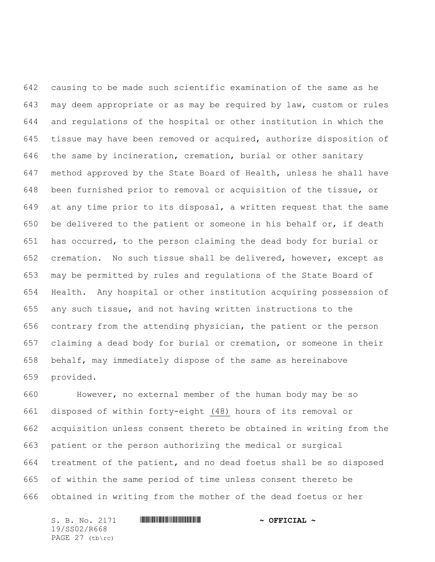causing to be made such scientific examination of the same as he may deem appropriate or as may be required by law, custom or rules and regulations of the hospital or other institution in which the tissue may have been removed or acquired, authorize disposition of the same by incineration, cremation, burial or other sanitary method approved by the State Board of Health, unless he shall have been furnished prior to removal or acquisition of the tissue, or at any time prior to its disposal, a written request that the same be delivered to the patient or someone in his behalf or, if death has occurred, to the person claiming the dead body for burial or cremation. No such tissue shall be delivered, however, except as may be permitted by rules and regulations of the State Board of Health. Any hospital or other institution acquiring possession of any such tissue, and not having written instructions to the contrary from the attending physician, the patient or the person claiming a dead body for burial or cremation, or someone in their behalf, may immediately dispose of the same as hereinabove provided.

 However, no external member of the human body may be so disposed of within forty-eight (48) hours of its removal or acquisition unless consent thereto be obtained in writing from the patient or the person authorizing the medical or surgical treatment of the patient, and no dead foetus shall be so disposed of within the same period of time unless consent thereto be obtained in writing from the mother of the dead foetus or her

S. B. No. 2171 **\*\*\* A SEPTICIAL \*\*\* \*\*\* OFFICIAL \*\*** 19/SS02/R668 PAGE 27 (tb\rc)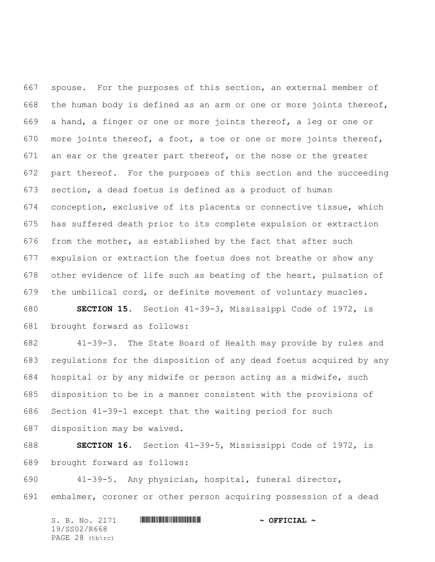spouse. For the purposes of this section, an external member of the human body is defined as an arm or one or more joints thereof, a hand, a finger or one or more joints thereof, a leg or one or more joints thereof, a foot, a toe or one or more joints thereof, an ear or the greater part thereof, or the nose or the greater part thereof. For the purposes of this section and the succeeding section, a dead foetus is defined as a product of human conception, exclusive of its placenta or connective tissue, which has suffered death prior to its complete expulsion or extraction from the mother, as established by the fact that after such expulsion or extraction the foetus does not breathe or show any other evidence of life such as beating of the heart, pulsation of the umbilical cord, or definite movement of voluntary muscles.

 **SECTION 15.** Section 41-39-3, Mississippi Code of 1972, is brought forward as follows:

 41-39-3. The State Board of Health may provide by rules and regulations for the disposition of any dead foetus acquired by any hospital or by any midwife or person acting as a midwife, such disposition to be in a manner consistent with the provisions of Section 41-39-1 except that the waiting period for such disposition may be waived.

 **SECTION 16.** Section 41-39-5, Mississippi Code of 1972, is brought forward as follows:

 41-39-5. Any physician, hospital, funeral director, embalmer, coroner or other person acquiring possession of a dead

S. B. No. 2171 **\*\*\* A SEPTICIAL \*\*\* \*\*\* OFFICIAL \*\*** 19/SS02/R668 PAGE 28 (tb\rc)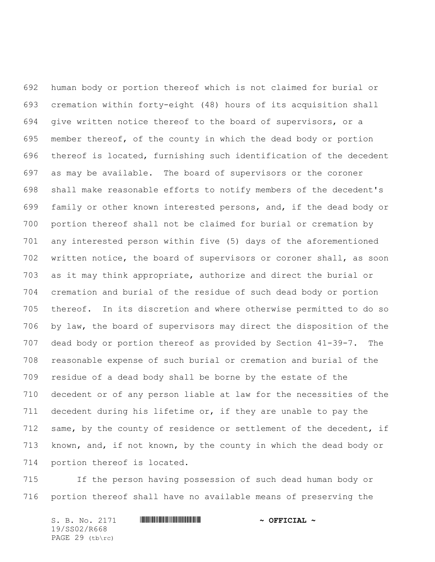human body or portion thereof which is not claimed for burial or cremation within forty-eight (48) hours of its acquisition shall give written notice thereof to the board of supervisors, or a member thereof, of the county in which the dead body or portion thereof is located, furnishing such identification of the decedent as may be available. The board of supervisors or the coroner shall make reasonable efforts to notify members of the decedent's family or other known interested persons, and, if the dead body or portion thereof shall not be claimed for burial or cremation by any interested person within five (5) days of the aforementioned written notice, the board of supervisors or coroner shall, as soon as it may think appropriate, authorize and direct the burial or cremation and burial of the residue of such dead body or portion thereof. In its discretion and where otherwise permitted to do so by law, the board of supervisors may direct the disposition of the dead body or portion thereof as provided by Section 41-39-7. The reasonable expense of such burial or cremation and burial of the residue of a dead body shall be borne by the estate of the decedent or of any person liable at law for the necessities of the decedent during his lifetime or, if they are unable to pay the 712 same, by the county of residence or settlement of the decedent, if known, and, if not known, by the county in which the dead body or portion thereof is located.

 If the person having possession of such dead human body or portion thereof shall have no available means of preserving the

S. B. No. 2171 \*SS02/R668\* **~ OFFICIAL ~** 19/SS02/R668 PAGE 29 (tb\rc)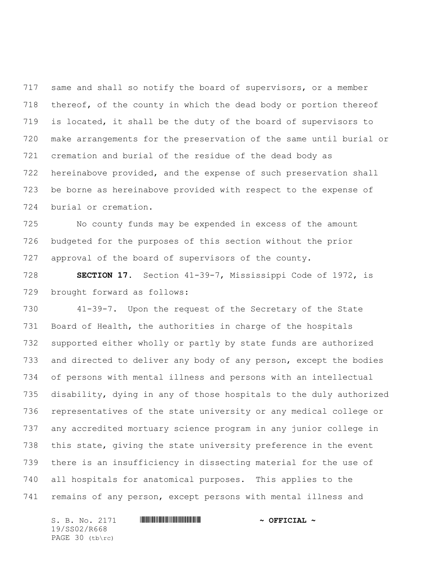same and shall so notify the board of supervisors, or a member 718 thereof, of the county in which the dead body or portion thereof is located, it shall be the duty of the board of supervisors to make arrangements for the preservation of the same until burial or cremation and burial of the residue of the dead body as hereinabove provided, and the expense of such preservation shall be borne as hereinabove provided with respect to the expense of burial or cremation.

 No county funds may be expended in excess of the amount budgeted for the purposes of this section without the prior approval of the board of supervisors of the county.

 **SECTION 17.** Section 41-39-7, Mississippi Code of 1972, is brought forward as follows:

 41-39-7. Upon the request of the Secretary of the State Board of Health, the authorities in charge of the hospitals supported either wholly or partly by state funds are authorized and directed to deliver any body of any person, except the bodies of persons with mental illness and persons with an intellectual disability, dying in any of those hospitals to the duly authorized representatives of the state university or any medical college or any accredited mortuary science program in any junior college in this state, giving the state university preference in the event there is an insufficiency in dissecting material for the use of all hospitals for anatomical purposes. This applies to the remains of any person, except persons with mental illness and

S. B. No. 2171 **\*\*\* A SEPTICIAL \*\*\* \*\*\* OFFICIAL \*\*** 19/SS02/R668 PAGE 30 (tb\rc)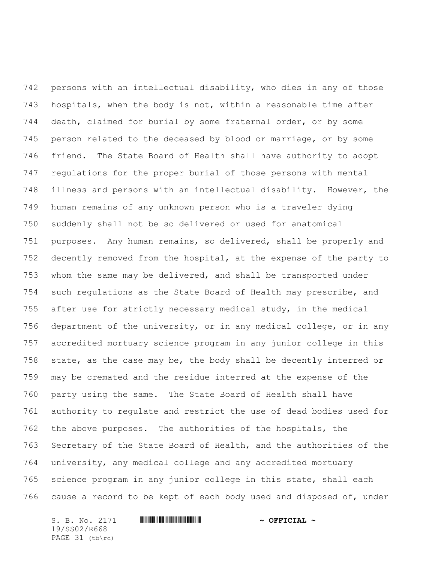persons with an intellectual disability, who dies in any of those hospitals, when the body is not, within a reasonable time after death, claimed for burial by some fraternal order, or by some person related to the deceased by blood or marriage, or by some friend. The State Board of Health shall have authority to adopt regulations for the proper burial of those persons with mental illness and persons with an intellectual disability. However, the human remains of any unknown person who is a traveler dying suddenly shall not be so delivered or used for anatomical purposes. Any human remains, so delivered, shall be properly and decently removed from the hospital, at the expense of the party to whom the same may be delivered, and shall be transported under such regulations as the State Board of Health may prescribe, and after use for strictly necessary medical study, in the medical department of the university, or in any medical college, or in any accredited mortuary science program in any junior college in this state, as the case may be, the body shall be decently interred or may be cremated and the residue interred at the expense of the party using the same. The State Board of Health shall have authority to regulate and restrict the use of dead bodies used for the above purposes. The authorities of the hospitals, the Secretary of the State Board of Health, and the authorities of the university, any medical college and any accredited mortuary science program in any junior college in this state, shall each cause a record to be kept of each body used and disposed of, under

S. B. No. 2171 \*SS02/R668\* **~ OFFICIAL ~** 19/SS02/R668 PAGE 31 (tb\rc)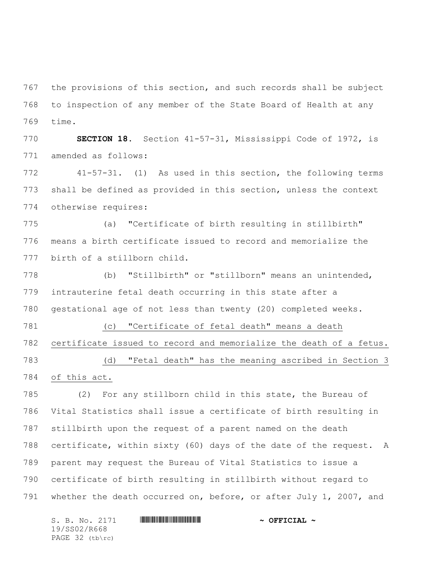the provisions of this section, and such records shall be subject to inspection of any member of the State Board of Health at any time.

 **SECTION 18.** Section 41-57-31, Mississippi Code of 1972, is amended as follows:

 41-57-31. (1) As used in this section, the following terms shall be defined as provided in this section, unless the context otherwise requires:

 (a) "Certificate of birth resulting in stillbirth" means a birth certificate issued to record and memorialize the birth of a stillborn child.

 (b) "Stillbirth" or "stillborn" means an unintended, intrauterine fetal death occurring in this state after a gestational age of not less than twenty (20) completed weeks.

 (c) "Certificate of fetal death" means a death certificate issued to record and memorialize the death of a fetus. (d) "Fetal death" has the meaning ascribed in Section 3

of this act.

 (2) For any stillborn child in this state, the Bureau of Vital Statistics shall issue a certificate of birth resulting in stillbirth upon the request of a parent named on the death certificate, within sixty (60) days of the date of the request. A parent may request the Bureau of Vital Statistics to issue a certificate of birth resulting in stillbirth without regard to whether the death occurred on, before, or after July 1, 2007, and

S. B. No. 2171 \*SS02/R668\* **~ OFFICIAL ~** 19/SS02/R668 PAGE 32 (tb\rc)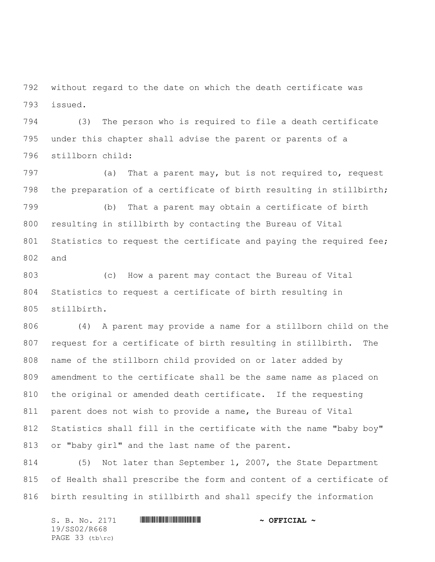without regard to the date on which the death certificate was issued.

 (3) The person who is required to file a death certificate under this chapter shall advise the parent or parents of a stillborn child:

797 (a) That a parent may, but is not required to, request the preparation of a certificate of birth resulting in stillbirth;

 (b) That a parent may obtain a certificate of birth resulting in stillbirth by contacting the Bureau of Vital Statistics to request the certificate and paying the required fee; and

 (c) How a parent may contact the Bureau of Vital Statistics to request a certificate of birth resulting in stillbirth.

 (4) A parent may provide a name for a stillborn child on the request for a certificate of birth resulting in stillbirth. The name of the stillborn child provided on or later added by amendment to the certificate shall be the same name as placed on the original or amended death certificate. If the requesting parent does not wish to provide a name, the Bureau of Vital Statistics shall fill in the certificate with the name "baby boy" or "baby girl" and the last name of the parent.

 (5) Not later than September 1, 2007, the State Department of Health shall prescribe the form and content of a certificate of birth resulting in stillbirth and shall specify the information

S. B. No. 2171 **\*\*\* A SEPTICIAL \*\*\* \*\*\* OFFICIAL \*\*** 19/SS02/R668 PAGE 33 (tb\rc)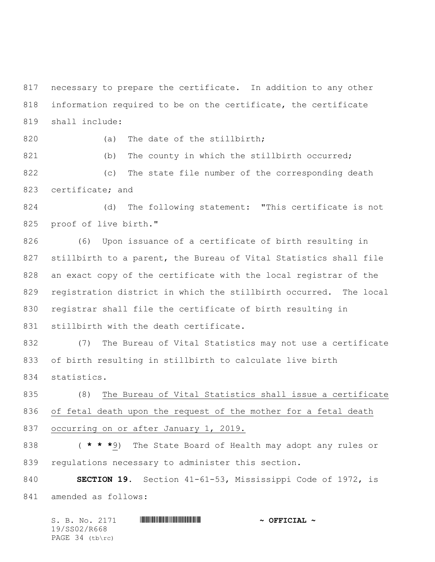necessary to prepare the certificate. In addition to any other information required to be on the certificate, the certificate shall include:

820 (a) The date of the stillbirth;

821 (b) The county in which the stillbirth occurred; (c) The state file number of the corresponding death certificate; and

 (d) The following statement: "This certificate is not proof of live birth."

 (6) Upon issuance of a certificate of birth resulting in stillbirth to a parent, the Bureau of Vital Statistics shall file an exact copy of the certificate with the local registrar of the registration district in which the stillbirth occurred. The local registrar shall file the certificate of birth resulting in 831 stillbirth with the death certificate.

 (7) The Bureau of Vital Statistics may not use a certificate of birth resulting in stillbirth to calculate live birth statistics.

 (8) The Bureau of Vital Statistics shall issue a certificate of fetal death upon the request of the mother for a fetal death occurring on or after January 1, 2019.

 ( **\* \* \***9) The State Board of Health may adopt any rules or regulations necessary to administer this section.

 **SECTION 19.** Section 41-61-53, Mississippi Code of 1972, is amended as follows:

S. B. No. 2171 \*SS02/R668\* **~ OFFICIAL ~** 19/SS02/R668 PAGE 34 (tb\rc)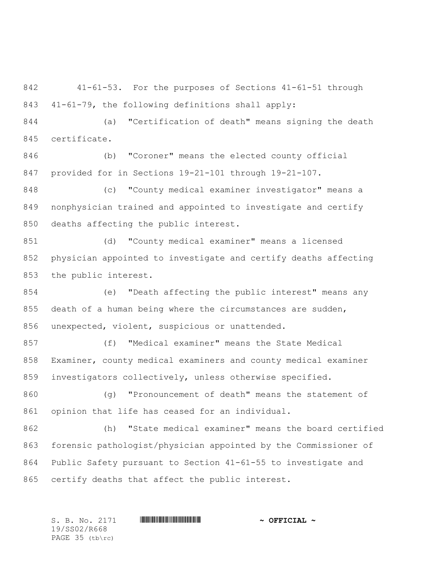41-61-53. For the purposes of Sections 41-61-51 through 41-61-79, the following definitions shall apply:

 (a) "Certification of death" means signing the death certificate.

 (b) "Coroner" means the elected county official provided for in Sections 19-21-101 through 19-21-107.

 (c) "County medical examiner investigator" means a nonphysician trained and appointed to investigate and certify deaths affecting the public interest.

 (d) "County medical examiner" means a licensed physician appointed to investigate and certify deaths affecting the public interest.

 (e) "Death affecting the public interest" means any 855 death of a human being where the circumstances are sudden, unexpected, violent, suspicious or unattended.

 (f) "Medical examiner" means the State Medical Examiner, county medical examiners and county medical examiner investigators collectively, unless otherwise specified.

 (g) "Pronouncement of death" means the statement of opinion that life has ceased for an individual.

 (h) "State medical examiner" means the board certified forensic pathologist/physician appointed by the Commissioner of Public Safety pursuant to Section 41-61-55 to investigate and certify deaths that affect the public interest.

S. B. No. 2171 \*SS02/R668\* **~ OFFICIAL ~** 19/SS02/R668 PAGE 35 (tb\rc)